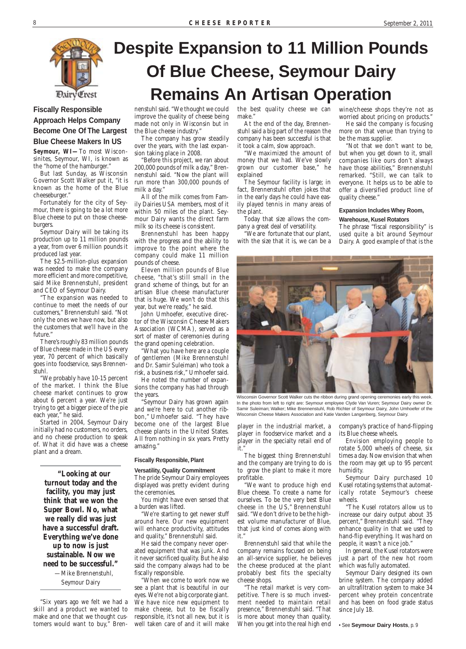

### **Despite Expansion to 11 Million Pounds Of Blue Cheese, Seymour Dairy Remains An Artisan Operation**

wine/cheese shops they're not as worried about pricing on products."

He said the company is focusing more on that venue than trying to be the mass supplier.

"Not that we don't want to be, but when you get down to it, small companies like ours don't always have those abilities," Brennenstuhl remarked. "Still, we can talk to everyone. It helps us to be able to offer a diversified product line of quality cheese."

#### **Expansion Includes Whey Room,**

#### **Warehouse, Kusel Rotators**

The phrase "fiscal responsibility" is used quite a bit around Seymour Dairy. A good example of that is the



Wisconsin Governor Scott Walker cuts the ribbon during grand opening ceremonies early this week. In the photo from left to right are: Seymour employee Clyde Van Vuren; Seymour Dairy owner Dr. Samir Suleiman; Walker; Mike Brennenstuhl, Rob Richter of Seymour Dairy, John Umhoefer of the Wisconsin Cheese Makers Association and Katie Vanden Langenberg, Seymour Dairy.

**Fiscally Responsible Approach Helps Company Become One Of The Largest Blue Cheese Makers In US**

**Seymour, WI—**To most Wisconsinites, Seymour, WI, is known as the "home of the hamburger."

But last Sunday, as Wisconsin Governor Scott Walker put it, "it is known as the home of the Blue cheeseburger."

Fortunately for the city of Seymour, there is going to be a lot more Blue cheese to put on those cheeseburgers.

Seymour Dairy will be taking its production up to 11 million pounds a year, from over 6 million pounds it produced last year.

The \$2.5-million-plus expansion was needed to make the company more efficient and more competitive, said Mike Brennenstuhl, president and CEO of Seymour Dairy.

"The expansion was needed to continue to meet the needs of our customers," Brennenstuhl said. "Not only the ones we have now, but also the customers that we'll have in the future."

There's roughly 83 million pounds of Blue cheese made in the US every year, 70 percent of which basically goes into foodservice, says Brennenstuhl.

"We probably have 10-15 percent of the market. I think the Blue cheese market continues to grow about 6 percent a year. We're just trying to get a bigger piece of the pie each year," he said.

Started in 2004, Seymour Dairy initially had no customers, no orders, and no cheese production to speak of. What it did have was a cheese plant and a dream.

**"Looking at our turnout today and the facility, you may just think that we won the Super Bowl. No, what we really did was just have a successful draft. Everything we've done up to now is just sustainable. Now we need to be successful."**

—Mike Brennenstuhl,

Seymour Dairy

"Six years ago we felt we had a skill and a product we wanted to make and one that we thought customers would want to buy," Bren-

nenstuhl said. "We thought we could improve the quality of cheese being made not only in Wisconsin but in the Blue cheese industry."

The company has grow steadily over the years, with the last expansion taking place in 2008.

"Before this project, we ran about 200,000 pounds of milk a day," Brennenstuhl said. "Now the plant will run more than 300,000 pounds of milk a day."

All of the milk comes from Family Dairies USA members, most of it within 50 miles of the plant. Seymour Dairy wants the direct farm milk so its cheese is consistent.

Brennenstuhl has been happy with the progress and the ability to improve to the point where the company could make 11 million pounds of cheese.

Eleven million pounds of Blue cheese, "that's still small in the grand scheme of things, but for an artisan Blue cheese manufacturer that is huge. We won't do that this year, but we're ready," he said.

John Umhoefer, executive director of the Wisconsin Cheese Makers Association (WCMA), served as a sort of master of ceremonies during the grand opening celebration.

"What you have here are a couple of gentlemen (Mike Brennenstuhl and Dr. Samir Suleiman) who took a risk, a business risk," Umhoefer said.

He noted the number of expansions the company has had through the years.

"Seymour Dairy has grown again and we're here to cut another ribbon," Umhoefer said. "They have become one of the largest Blue cheese plants in the United States. All from nothing in six years. Pretty amazing."

#### **Fiscally Responsible, Plant**

#### **Versatility, Quality Commitment**

The pride Seymour Dairy employees displayed was pretty evident during the ceremonies.

You might have even sensed that

a burden was lifted.

"We're starting to get newer stuff around here. Our new equipment will enhance productivity, attitudes and quality," Brennenstuhl said.

He said the company never operated equipment that was junk. And it never sacrificed quality. But he also said the company always had to be fiscally responsible.

"When we come to work now we see a plant that is beautiful in our eyes. We're not a big corporate giant. We have nice new equipment to make cheese, but to be fiscally responsible, it's not all new, but it is well taken care of and it will make

player in the industrial market, a player in foodservice market and a player in the specialty retail end of it."

The biggest thing Brennenstuhl and the company are trying to do is to grow the plant to make it more profitable.

"We want to produce high end Blue cheese. To create a name for ourselves. To be the very best Blue cheese in the US," Brennenstuhl said. "We don't drive to be the highest volume manufacturer of Blue, that just kind of comes along with it." Brennenstuhl said that while the company remains focused on being an all-service supplier, he believes the cheese produced at the plant probably best fits the specialty cheese shops. "The retail market is very competitive. There is so much investment needed to maintain retail presence," Brennenstuhl said. "That is more about money than quality. When you get into the real high end company's practice of hand-flipping its Blue cheese wheels.

Envision employing people to rotate 5,000 wheels of cheese, six times a day. Now envision that when the room may get up to 95 percent humidity.

Seymour Dairy purchased 10 Kusel rotating systems that automatically rotate Seymour's cheese wheels.

"The Kusel rotators allow us to increase our dairy output about 35 percent," Brennenstuhl said. "They enhance quality in that we used to hand-flip everything. It was hard on people, it wasn't a nice job."

In general, the Kusel rotators were just a part of the new hot room which was fully automated.

Seymour Dairy designed its own brine system. The company added an ultrafiltration system to make 34 percent whey protein concentrate and has been on food grade status since July 18.

• See **Seymour Dairy Hosts**, p. 9

the best quality cheese we can make."

At the end of the day, Brennenstuhl said a big part of the reason the company has been successful is that it took a calm, slow approach.

"We maximized the amount of money that we had. We've slowly grown our customer base," he explained

The Seymour facility is large; in fact, Brennenstuhl often jokes that in the early days he could have easily played tennis in many areas of the plant.

Today that size allows the company a great deal of versatility.

"We are fortunate that our plant, with the size that it is, we can be a